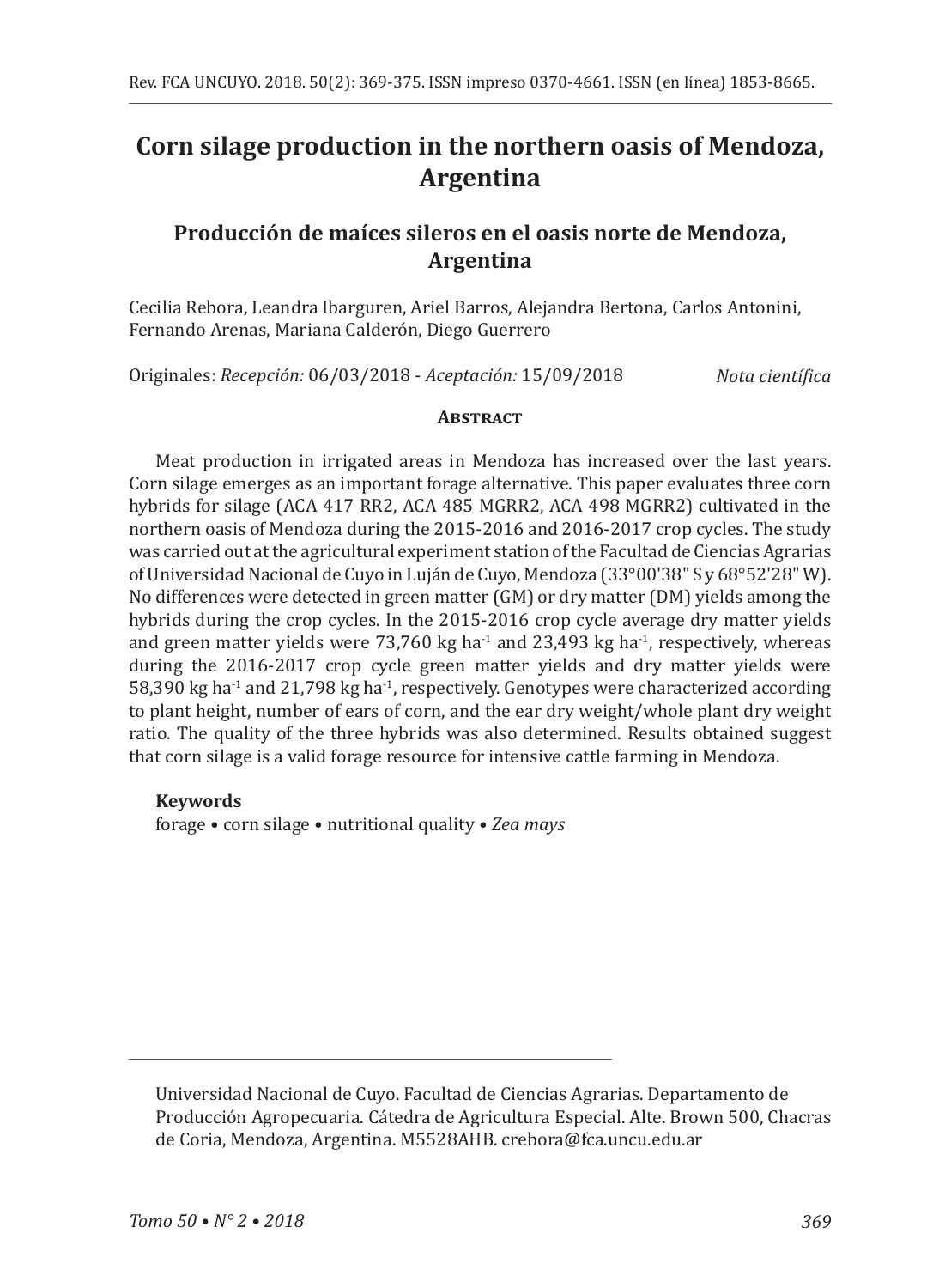# **Corn silage production in the northern oasis of Mendoza, Argentina**

# **Producción de maíces sileros en el oasis norte de Mendoza, Argentina**

Cecilia Rebora, Leandra Ibarguren, Ariel Barros, Alejandra Bertona, Carlos Antonini, Fernando Arenas, Mariana Calderón, Diego Guerrero

Originales: *Recepción:* 06/03/2018 - *Aceptación:* 15/09/2018

*Nota científica*

### **ABSTRACT**

Meat production in irrigated areas in Mendoza has increased over the last years. Corn silage emerges as an important forage alternative. This paper evaluates three corn hybrids for silage (ACA 417 RR2, ACA 485 MGRR2, ACA 498 MGRR2) cultivated in the northern oasis of Mendoza during the 2015-2016 and 2016-2017 crop cycles. The study was carried out at the agricultural experiment station of the Facultad de Ciencias Agrarias of Universidad Nacional de Cuyo in Luján de Cuyo, Mendoza (33°00'38" S y 68°52'28" W). No differences were detected in green matter (GM) or dry matter (DM) yields among the hybrids during the crop cycles. In the 2015-2016 crop cycle average dry matter yields and green matter yields were 73,760 kg ha<sup>-1</sup> and 23,493 kg ha<sup>-1</sup>, respectively, whereas during the 2016-2017 crop cycle green matter yields and dry matter yields were  $58,390$  kg ha<sup>-1</sup> and  $21,798$  kg ha<sup>-1</sup>, respectively. Genotypes were characterized according to plant height, number of ears of corn, and the ear dry weight/whole plant dry weight ratio. The quality of the three hybrids was also determined. Results obtained suggest that corn silage is a valid forage resource for intensive cattle farming in Mendoza.

### **Keywords**

forage • corn silage • nutritional quality • *Zea mays*

Universidad Nacional de Cuyo. Facultad de Ciencias Agrarias. Departamento de Producción Agropecuaria. Cátedra de Agricultura Especial. Alte. Brown 500, Chacras de Coria, Mendoza, Argentina. M5528AHB. crebora@fca.uncu.edu.ar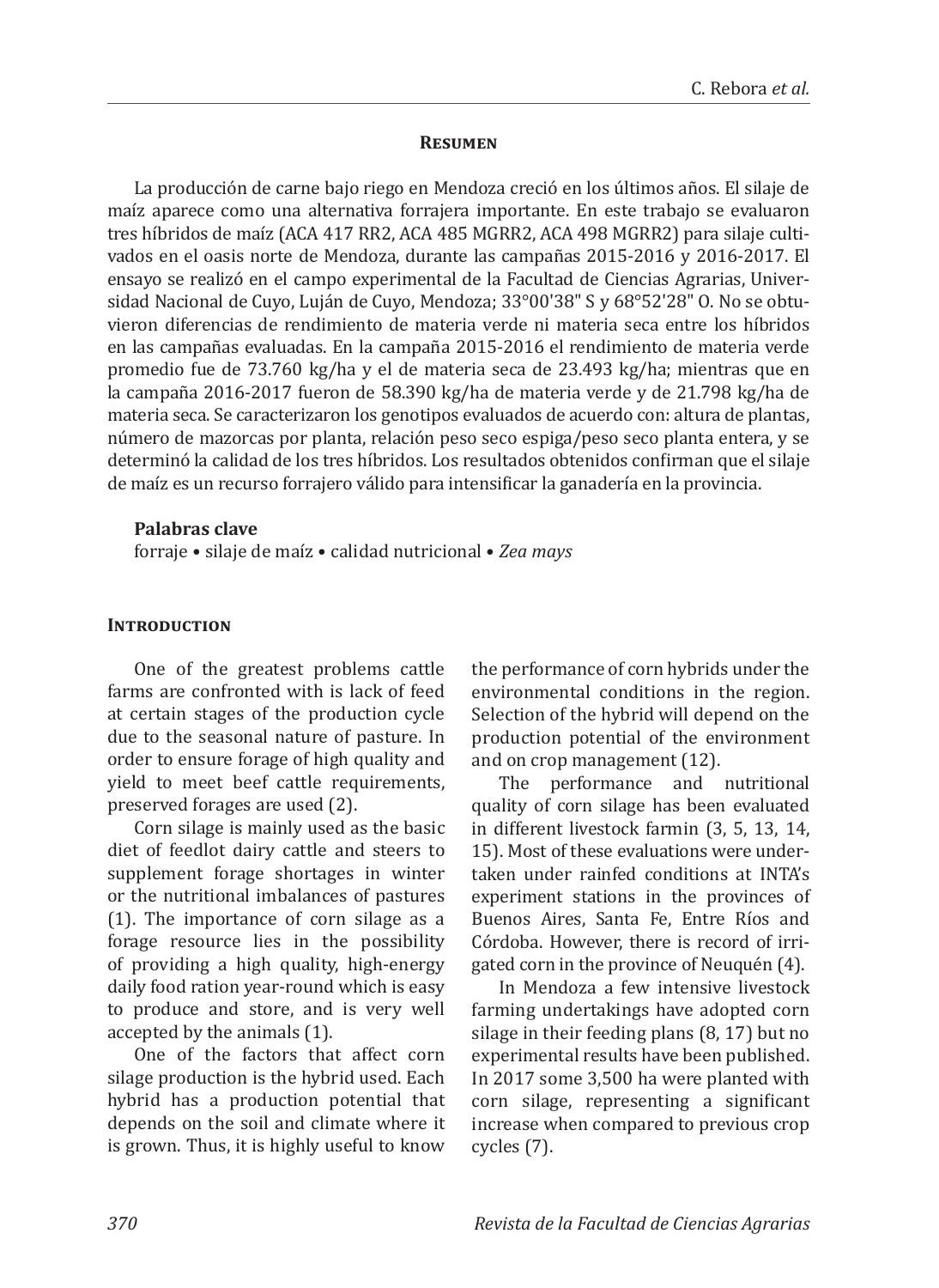#### **Resumen**

La producción de carne bajo riego en Mendoza creció en los últimos años. El silaje de maíz aparece como una alternativa forrajera importante. En este trabajo se evaluaron tres híbridos de maíz (ACA 417 RR2, ACA 485 MGRR2, ACA 498 MGRR2) para silaje cultivados en el oasis norte de Mendoza, durante las campañas 2015-2016 y 2016-2017. El ensayo se realizó en el campo experimental de la Facultad de Ciencias Agrarias, Universidad Nacional de Cuyo, Luján de Cuyo, Mendoza; 33°00'38" S y 68°52'28" O. No se obtuvieron diferencias de rendimiento de materia verde ni materia seca entre los híbridos en las campañas evaluadas. En la campaña 2015-2016 el rendimiento de materia verde promedio fue de 73.760 kg/ha y el de materia seca de 23.493 kg/ha; mientras que en la campaña 2016-2017 fueron de 58.390 kg/ha de materia verde y de 21.798 kg/ha de materia seca. Se caracterizaron los genotipos evaluados de acuerdo con: altura de plantas, número de mazorcas por planta, relación peso seco espiga/peso seco planta entera, y se determinó la calidad de los tres híbridos. Los resultados obtenidos confirman que el silaje de maíz es un recurso forrajero válido para intensificar la ganadería en la provincia.

#### **Palabras clave**

forraje • silaje de maíz • calidad nutricional • *Zea mays*

#### **INTRODUCTION**

One of the greatest problems cattle farms are confronted with is lack of feed at certain stages of the production cycle due to the seasonal nature of pasture. In order to ensure forage of high quality and yield to meet beef cattle requirements, preserved forages are used (2).

Corn silage is mainly used as the basic diet of feedlot dairy cattle and steers to supplement forage shortages in winter or the nutritional imbalances of pastures (1). The importance of corn silage as a forage resource lies in the possibility of providing a high quality, high-energy daily food ration year-round which is easy to produce and store, and is very well accepted by the animals (1).

One of the factors that affect corn silage production is the hybrid used. Each hybrid has a production potential that depends on the soil and climate where it is grown. Thus, it is highly useful to know

the performance of corn hybrids under the environmental conditions in the region. Selection of the hybrid will depend on the production potential of the environment and on crop management (12).

The performance and nutritional quality of corn silage has been evaluated in different livestock farmin (3, 5, 13, 14, 15). Most of these evaluations were undertaken under rainfed conditions at INTA's experiment stations in the provinces of Buenos Aires, Santa Fe, Entre Ríos and Córdoba. However, there is record of irrigated corn in the province of Neuquén (4).

In Mendoza a few intensive livestock farming undertakings have adopted corn silage in their feeding plans (8, 17) but no experimental results have been published. In 2017 some 3,500 ha were planted with corn silage, representing a significant increase when compared to previous crop cycles (7).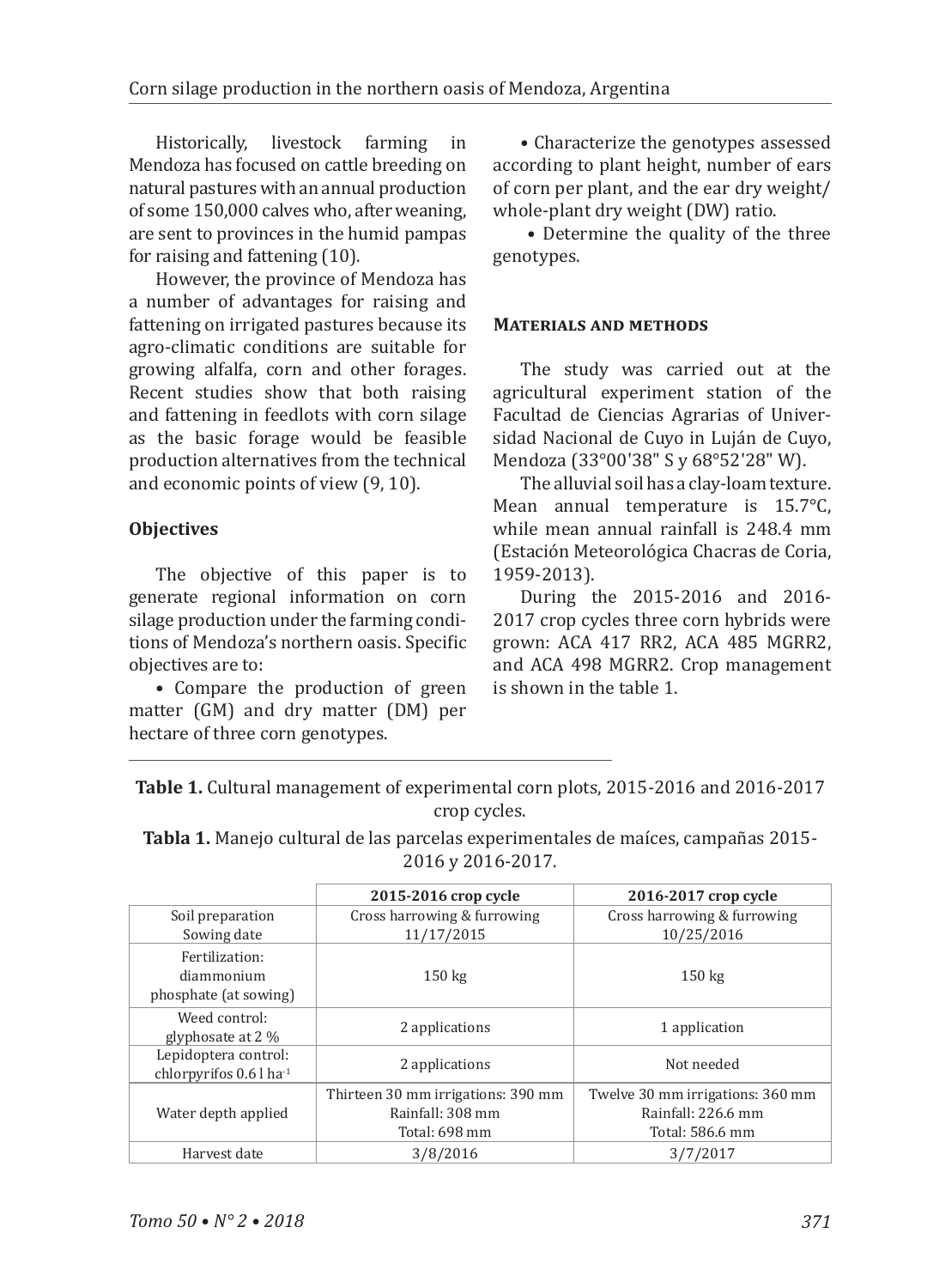Historically, livestock farming in Mendoza has focused on cattle breeding on natural pastures with an annual production of some 150,000 calves who, after weaning, are sent to provinces in the humid pampas for raising and fattening (10).

However, the province of Mendoza has a number of advantages for raising and fattening on irrigated pastures because its agro-climatic conditions are suitable for growing alfalfa, corn and other forages. Recent studies show that both raising and fattening in feedlots with corn silage as the basic forage would be feasible production alternatives from the technical and economic points of view (9, 10).

## **Objectives**

The objective of this paper is to generate regional information on corn silage production under the farming conditions of Mendoza's northern oasis. Specific objectives are to:

• Compare the production of green matter (GM) and dry matter (DM) per hectare of three corn genotypes.

• Characterize the genotypes assessed according to plant height, number of ears of corn per plant, and the ear dry weight/ whole-plant dry weight (DW) ratio.

 • Determine the quality of the three genotypes.

### **Materials and methods**

The study was carried out at the agricultural experiment station of the Facultad de Ciencias Agrarias of Universidad Nacional de Cuyo in Luján de Cuyo, Mendoza (33°00'38" S y 68°52'28" W).

The alluvial soil has a clay-loam texture. Mean annual temperature is 15.7°C, while mean annual rainfall is 248.4 mm (Estación Meteorológica Chacras de Coria, 1959-2013).

During the 2015-2016 and 2016- 2017 crop cycles three corn hybrids were grown: ACA 417 RR2, ACA 485 MGRR2, and ACA 498 MGRR2. Crop management is shown in the table 1.

| <b>Table 1.</b> Cultural management of experimental corn plots, 2015-2016 and 2016-2017 |
|-----------------------------------------------------------------------------------------|
| crop cycles.                                                                            |

**Tabla 1.** Manejo cultural de las parcelas experimentales de maíces, campañas 2015- 2016 y 2016-2017.

|                                                               | 2015-2016 crop cycle                                                    | 2016-2017 crop cycle                                                      |
|---------------------------------------------------------------|-------------------------------------------------------------------------|---------------------------------------------------------------------------|
| Soil preparation                                              | Cross harrowing & furrowing                                             | Cross harrowing & furrowing                                               |
| Sowing date                                                   | 11/17/2015                                                              | 10/25/2016                                                                |
| Fertilization:<br>diammonium<br>phosphate (at sowing)         | $150 \text{ kg}$                                                        | $150 \text{ kg}$                                                          |
| Weed control:<br>glyphosate at 2 %                            | 2 applications                                                          | 1 application                                                             |
| Lepidoptera control:<br>chlorpyrifos $0.6$ l ha <sup>-1</sup> | 2 applications                                                          | Not needed                                                                |
| Water depth applied                                           | Thirteen 30 mm irrigations: 390 mm<br>Rainfall: 308 mm<br>Total: 698 mm | Twelve 30 mm irrigations: 360 mm<br>Rainfall: 226.6 mm<br>Total: 586.6 mm |
| Harvest date                                                  | 3/8/2016                                                                | 3/7/2017                                                                  |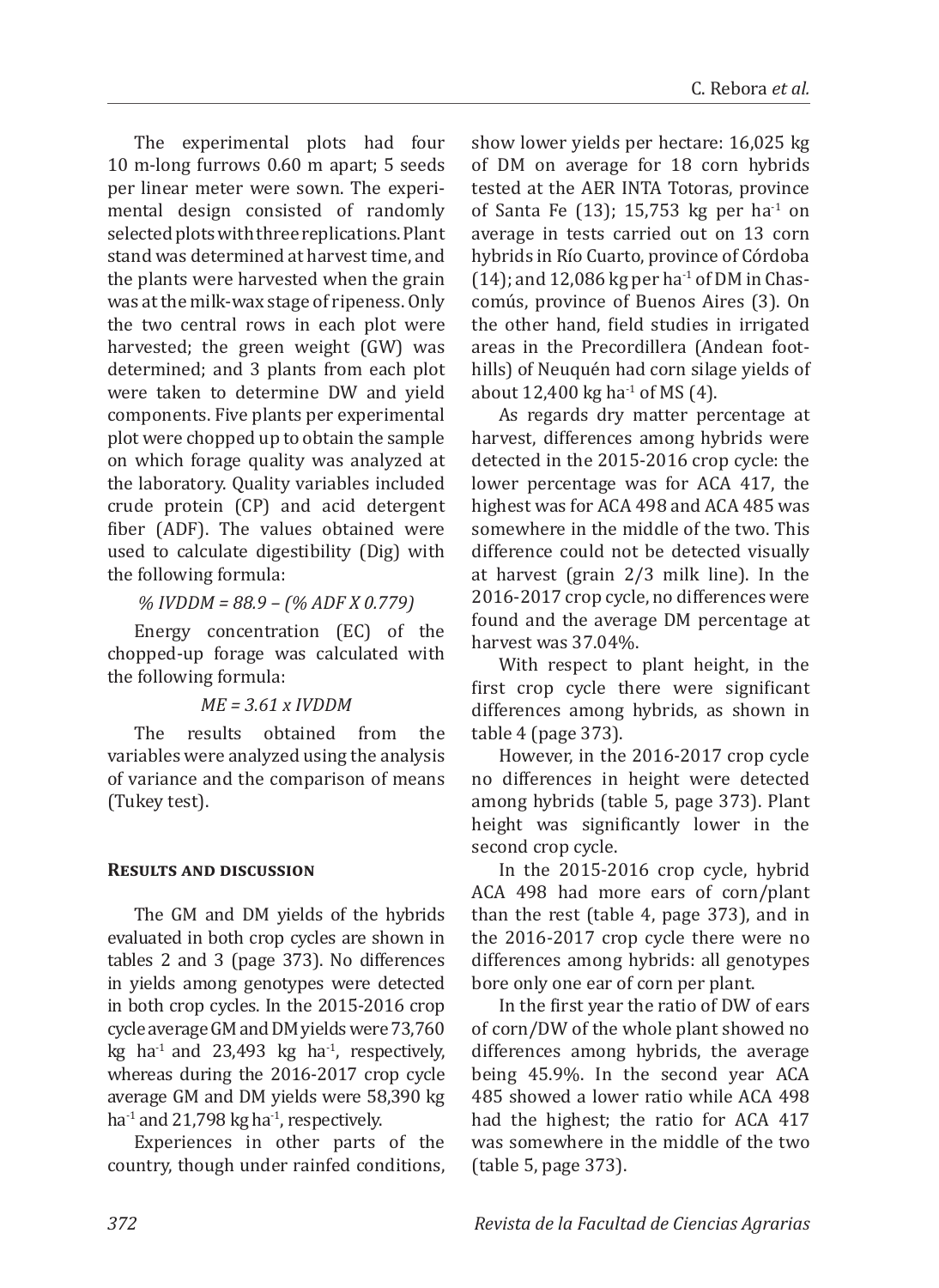The experimental plots had four 10 m-long furrows 0.60 m apart; 5 seeds per linear meter were sown. The experimental design consisted of randomly selected plots with three replications. Plant stand was determined at harvest time, and the plants were harvested when the grain was at the milk-wax stage of ripeness. Only the two central rows in each plot were harvested; the green weight (GW) was determined; and 3 plants from each plot were taken to determine DW and yield components. Five plants per experimental plot were chopped up to obtain the sample on which forage quality was analyzed at the laboratory. Quality variables included crude protein (CP) and acid detergent fiber (ADF). The values obtained were used to calculate digestibility (Dig) with the following formula:

*% IVDDM = 88.9 – (% ADF X 0.779)*

Energy concentration (EC) of the chopped-up forage was calculated with the following formula:

### *ME = 3.61 x IVDDM*

The results obtained from the variables were analyzed using the analysis of variance and the comparison of means (Tukey test).

### **Results and discussion**

The GM and DM yields of the hybrids evaluated in both crop cycles are shown in tables 2 and 3 (page 373). No differences in yields among genotypes were detected in both crop cycles. In the 2015-2016 crop cycle average GM and DM yields were 73,760 kg ha<sup>-1</sup> and 23,493 kg ha<sup>-1</sup>, respectively, whereas during the 2016-2017 crop cycle average GM and DM yields were 58,390 kg ha<sup>-1</sup> and 21,798 kg ha<sup>-1</sup>, respectively.

Experiences in other parts of the country, though under rainfed conditions, show lower yields per hectare: 16,025 kg of DM on average for 18 corn hybrids tested at the AER INTA Totoras, province of Santa Fe  $(13)$ ; 15,753 kg per ha<sup>-1</sup> on average in tests carried out on 13 corn hybrids in Río Cuarto, province of Córdoba  $(14)$ ; and 12,086 kg per ha<sup>-1</sup> of DM in Chascomús, province of Buenos Aires (3). On the other hand, field studies in irrigated areas in the Precordillera (Andean foothills) of Neuquén had corn silage yields of about  $12,400$  kg ha<sup>-1</sup> of MS  $(4)$ .

As regards dry matter percentage at harvest, differences among hybrids were detected in the 2015-2016 crop cycle: the lower percentage was for ACA 417, the highest was for ACA 498 and ACA 485 was somewhere in the middle of the two. This difference could not be detected visually at harvest (grain 2/3 milk line). In the 2016-2017 crop cycle, no differences were found and the average DM percentage at harvest was 37.04%.

With respect to plant height, in the first crop cycle there were significant differences among hybrids, as shown in table 4 (page 373).

However, in the 2016-2017 crop cycle no differences in height were detected among hybrids (table 5, page 373). Plant height was significantly lower in the second crop cycle.

In the 2015-2016 crop cycle, hybrid ACA 498 had more ears of corn/plant than the rest (table 4, page 373), and in the 2016-2017 crop cycle there were no differences among hybrids: all genotypes bore only one ear of corn per plant.

In the first year the ratio of DW of ears of corn/DW of the whole plant showed no differences among hybrids, the average being 45.9%. In the second year ACA 485 showed a lower ratio while ACA 498 had the highest; the ratio for ACA 417 was somewhere in the middle of the two (table 5, page 373).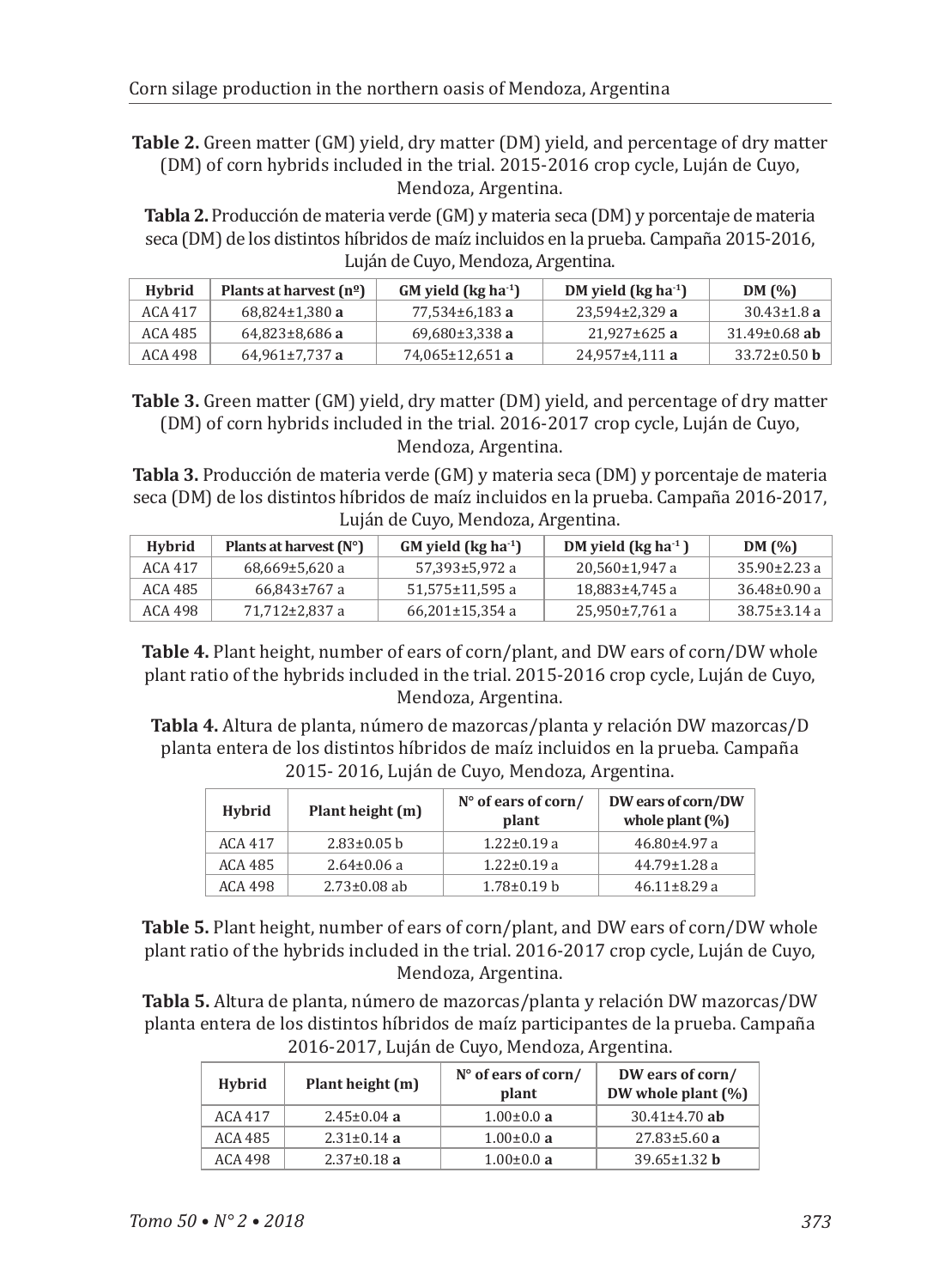**Table 2.** Green matter (GM) yield, dry matter (DM) yield, and percentage of dry matter (DM) of corn hybrids included in the trial. 2015-2016 crop cycle, Luján de Cuyo, Mendoza, Argentina.

**Tabla 2.** Producción de materia verde (GM) y materia seca (DM) y porcentaje de materia seca (DM) de los distintos híbridos de maíz incluidos en la prueba. Campaña 2015-2016, Luján de Cuyo, Mendoza, Argentina.

| Hybrid  | Plants at harvest $(n^{\circ})$ | $GM$ yield (kg ha <sup>-1</sup> ) | DM yield ( $kg$ ha <sup>-1</sup> ) | DM(%)               |
|---------|---------------------------------|-----------------------------------|------------------------------------|---------------------|
| ACA 417 | $68.824 \pm 1.380$ a            | 77.534±6.183 a                    | $23.594 \pm 2.329$ a               | $30.43 \pm 1.8$ a   |
| ACA 485 | $64,823\pm8,686$ a              | $69,680\pm3,338a$                 | $21.927 \pm 625$ a                 | $31.49 \pm 0.68$ ab |
| ACA 498 | $64,961\pm7,737$ a              | 74.065±12.651 a                   | $24.957 \pm 4.111$ a               | $33.72 \pm 0.50$ b  |

**Table 3.** Green matter (GM) yield, dry matter (DM) yield, and percentage of dry matter (DM) of corn hybrids included in the trial. 2016-2017 crop cycle, Luján de Cuyo, Mendoza, Argentina.

**Tabla 3.** Producción de materia verde (GM) y materia seca (DM) y porcentaje de materia seca (DM) de los distintos híbridos de maíz incluidos en la prueba. Campaña 2016-2017, Luján de Cuyo, Mendoza, Argentina.

| Hybrid  | Plants at harvest $(N^{\circ})$ | $GM$ yield (kg ha <sup>-1</sup> ) | DM yield $\left(\log h a^{-1}\right)$ | DM(%)              |
|---------|---------------------------------|-----------------------------------|---------------------------------------|--------------------|
| ACA 417 | $68.669 \pm 5.620 a$            | 57,393±5,972 a                    | $20.560 \pm 1.947$ a                  | $35.90 \pm 2.23$ a |
| ACA 485 | $66.843 \pm 767$ a              | $51.575 \pm 11.595$ a             | 18,883±4,745 a                        | $36.48 \pm 0.90 a$ |
| ACA 498 | 71,712±2,837 a                  | $66,201\pm15,354$ a               | 25,950±7,761 a                        | $38.75 \pm 3.14$ a |

**Table 4.** Plant height, number of ears of corn/plant, and DW ears of corn/DW whole plant ratio of the hybrids included in the trial. 2015-2016 crop cycle, Luján de Cuyo, Mendoza, Argentina.

**Tabla 4.** Altura de planta, número de mazorcas/planta y relación DW mazorcas/D planta entera de los distintos híbridos de maíz incluidos en la prueba. Campaña 2015- 2016, Luján de Cuyo, Mendoza, Argentina.

| <b>Hybrid</b> | Plant height (m)   | $N^{\circ}$ of ears of corn/<br>plant | DW ears of corn/DW<br>whole plant $(\%)$ |
|---------------|--------------------|---------------------------------------|------------------------------------------|
| ACA 417       | $2.83 \pm 0.05$ b  | $1.22 \pm 0.19$ a                     | $46.80{\pm}4.97$ a                       |
| ACA 485       | $2.64 \pm 0.06$ a  | $1.22 \pm 0.19$ a                     | $44.79 \pm 1.28$ a                       |
| ACA 498       | $2.73 \pm 0.08$ ab | $1.78 \pm 0.19$ b                     | $46.11 \pm 8.29$ a                       |

**Table 5.** Plant height, number of ears of corn/plant, and DW ears of corn/DW whole plant ratio of the hybrids included in the trial. 2016-2017 crop cycle, Luján de Cuyo, Mendoza, Argentina.

**Tabla 5.** Altura de planta, número de mazorcas/planta y relación DW mazorcas/DW planta entera de los distintos híbridos de maíz participantes de la prueba. Campaña 2016-2017, Luján de Cuyo, Mendoza, Argentina.

| Hybrid  | Plant height (m)  | $N^{\circ}$ of ears of corn/<br>plant | DW ears of corn/<br>DW whole plant (%) |
|---------|-------------------|---------------------------------------|----------------------------------------|
| ACA 417 | $2.45 \pm 0.04$ a | $1.00 \pm 0.0 a$                      | $30.41 \pm 4.70$ ab                    |
| ACA 485 | $2.31 \pm 0.14$ a | $1.00 \pm 0.0 a$                      | $27.83 \pm 5.60$ a                     |
| ACA 498 | $2.37 \pm 0.18$ a | $1.00 \pm 0.0 a$                      | $39.65 \pm 1.32$ h                     |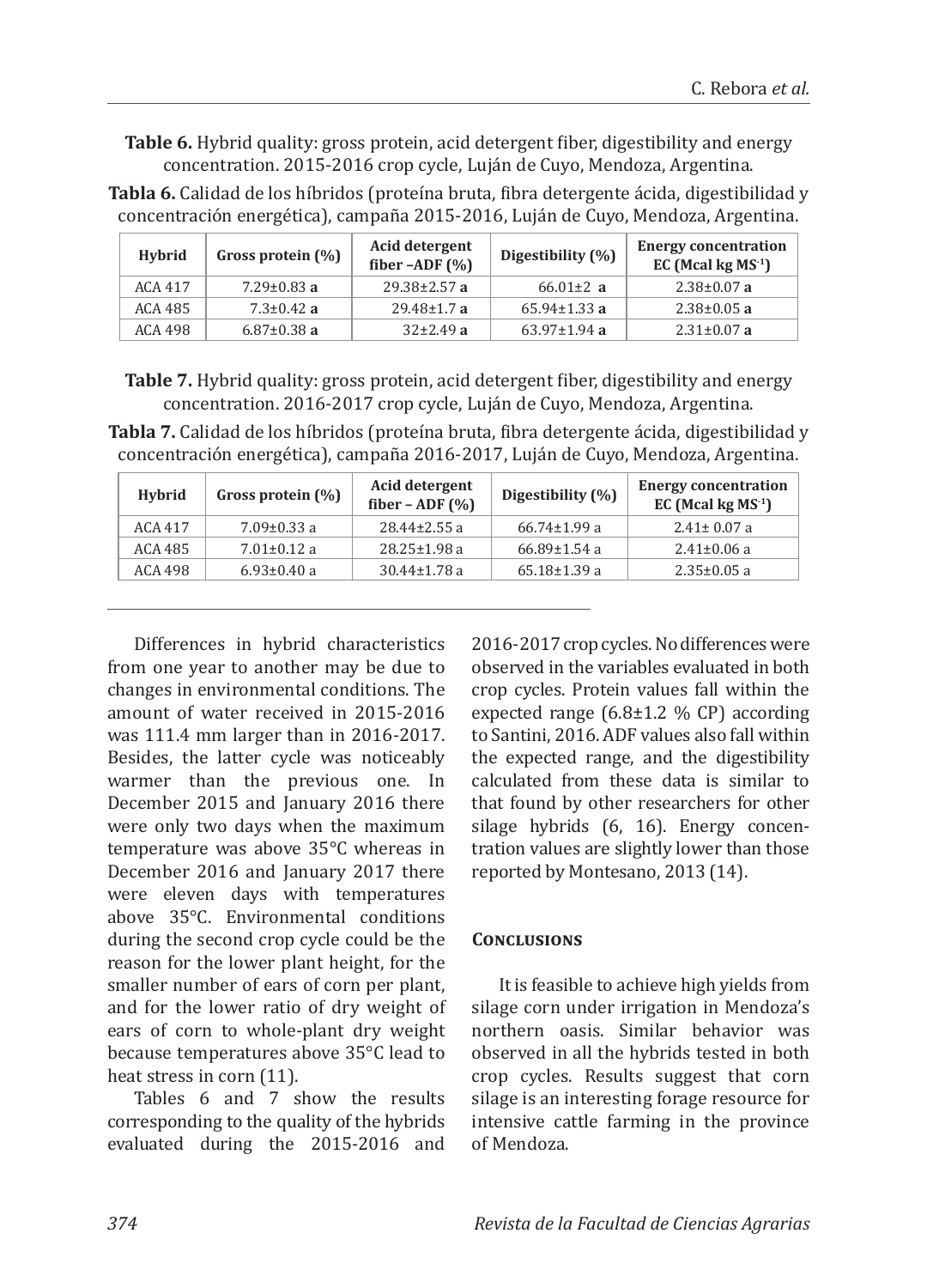**Table 6.** Hybrid quality: gross protein, acid detergent fiber, digestibility and energy concentration. 2015-2016 crop cycle, Luján de Cuyo, Mendoza, Argentina. **Tabla 6.** Calidad de los híbridos (proteína bruta, fibra detergente ácida, digestibilidad y

| 11.1.1.1 | $C_{\text{max}} = \frac{1}{2} \left( \frac{1}{2} \right)$ | Acid detergent | <b>Energy concentration</b>                                                           |  |
|----------|-----------------------------------------------------------|----------------|---------------------------------------------------------------------------------------|--|
|          |                                                           |                | concentración energética), campaña 2015-2016, Luján de Cuyo, Mendoza, Argentina.      |  |
|          |                                                           |                | <b>THOM OF GARGIN AV TOO MOTINGS (PLOWMIN DEAM) MOTA MOWLIGGING MONAGE MIGGORDMAN</b> |  |

| <b>Hybrid</b> | Gross protein (%) | Acid detergent<br>fiber $-$ ADF $($ % $)$ | Digestibility (%)  | <b>Energy concentration</b><br>EC (Mcal kg $MS-1$ ) |
|---------------|-------------------|-------------------------------------------|--------------------|-----------------------------------------------------|
| ACA 417       | $7.29 \pm 0.83$ a | $29.38 \pm 2.57$ a                        | 66.01 $\pm$ 2 a    | $2.38{\pm}0.07$ a                                   |
| ACA 485       | $7.3 \pm 0.42$ a  | $29.48 \pm 1.7$ a                         | $65.94 \pm 1.33$ a | $2.38 \pm 0.05$ a                                   |
| ACA 498       | $6.87 \pm 0.38$ a | $32\pm2.49$ a                             | $63.97 \pm 1.94$ a | $2.31 \pm 0.07$ a                                   |
|               |                   |                                           |                    |                                                     |

**Table 7.** Hybrid quality: gross protein, acid detergent fiber, digestibility and energy concentration. 2016-2017 crop cycle, Luján de Cuyo, Mendoza, Argentina.

**Tabla 7.** Calidad de los híbridos (proteína bruta, fibra detergente ácida, digestibilidad y concentración energética), campaña 2016-2017, Luján de Cuyo, Mendoza, Argentina.

| Gross protein (%) | Acid detergent<br>fiber – ADF $(\% )$ | Digestibility (%)  | <b>Energy concentration</b><br>EC (Mcal kg $MS^{-1}$ ) |
|-------------------|---------------------------------------|--------------------|--------------------------------------------------------|
| $7.09 \pm 0.33$ a | $28.44 \pm 2.55$ a                    | $66.74 \pm 1.99$ a | $2.41 \pm 0.07$ a                                      |
| $7.01 \pm 0.12$ a | $28.25 \pm 1.98$ a                    | $66.89 \pm 1.54$ a | $2.41 \pm 0.06$ a                                      |
| $6.93 \pm 0.40$ a | $30.44 \pm 1.78$ a                    | $65.18 \pm 1.39$ a | $2.35 \pm 0.05$ a                                      |
|                   |                                       |                    |                                                        |

Differences in hybrid characteristics from one year to another may be due to changes in environmental conditions. The amount of water received in 2015-2016 was 111.4 mm larger than in 2016-2017. Besides, the latter cycle was noticeably warmer than the previous one. In December 2015 and January 2016 there were only two days when the maximum temperature was above 35°C whereas in December 2016 and January 2017 there were eleven days with temperatures above 35°C. Environmental conditions during the second crop cycle could be the reason for the lower plant height, for the smaller number of ears of corn per plant, and for the lower ratio of dry weight of ears of corn to whole-plant dry weight because temperatures above 35°C lead to heat stress in corn (11).

Tables 6 and 7 show the results corresponding to the quality of the hybrids evaluated during the 2015-2016 and 2016-2017 crop cycles. No differences were observed in the variables evaluated in both crop cycles. Protein values fall within the expected range  $(6.8\pm1.2 \% \text{ CP})$  according to Santini, 2016. ADF values also fall within the expected range, and the digestibility calculated from these data is similar to that found by other researchers for other silage hybrids (6, 16). Energy concentration values are slightly lower than those reported by Montesano, 2013 (14).

### **Conclusions**

It is feasible to achieve high yields from silage corn under irrigation in Mendoza's northern oasis. Similar behavior was observed in all the hybrids tested in both crop cycles. Results suggest that corn silage is an interesting forage resource for intensive cattle farming in the province of Mendoza.